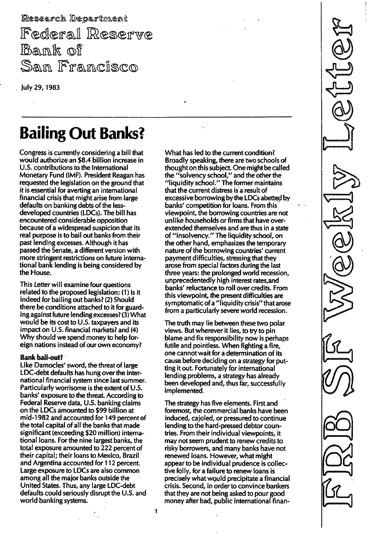Research Department Federal Reserve Bank of San Francisco

July 29,1 983

# Bailing Out Banks?

Congress is currently considering a bill that would authorize an \$8.4 billion increase in U.S. contributions to the International Monetary Fund (IMF). President Reagan has requested the legislation on the ground that it is essential for averting an international financial crisis that might arise from large defaults on banking debts of the lessdeveloped countries (LDCs). The bill has encountered considerable opposition because of a widespread suspicion that its real purpose is to bail out banks from their past lending excesses. Although it has passed the Senate, a different version with more stringent restrictions on future international bank lending is being considered by the House.

This Letter will examine four questions related to the proposed legislation: (1) Is it indeed for bailing out banks? (2) Should there be conditions attached to it for guarding against future lending excesses? (3) What would be its cost to U.S. taxpayers and its impact on U.s. financial markets? and (4) Why should we spend money to help foreign nations instead of our own economy?

## Bank bail-out?

Like Damocles' sword, the threat of large LDC-debt defaults has hung over the international financial system since last summer. Particularly worrisome is the extent of U.S. banks' exposure to the threat. According to Federal Reserve data, U.S. banking claims on the LDCs amounted to \$99 billion at mid-1 982 and accounted for 149 percent of the total capital of all the banks that made significant (exceeding \$20 million) international loans. For the nine largest banks, the total exposure arnounted to 222 percent of their capital; their loans to Mexico, Brazil and Argentina accounted for 112 percent. Large exposure to LDCs are also common among all the major banks outside the United States. Thus, any large LDC-debt defaults could seriously disrupt the U.S. and world banking systems.

What has led to the current condition? Broadly speaking, there are two schools of thought on this subject. One might be called the "solvency school," and the other the "liquidity schooL" The former maintains that the current distress is a result of excessive borrowing by the LDCs abetted by banks' competition for loans. From this viewpoint, the borrowing countries are not unlike households or firms that have overextended themselves and are thus in a state of "insolvency." The liquidity school, on the other hand, emphasizes the ternporary nature of the borrowing countries' current payment difficulties, stressing that they arose from special factors during the last three years: the prolonged world recession, unprecedentedly high interest rates,and banks' reluctance to roll over credits. From this viewpoint, the present difficulties are symptomatic of a "liquidity crisis" that arose from a particularly severe world recession.

The truth may lie between these two polar views. But wherever it lies, to try to pin blame and fix responsibility now is perhaps futile and pointless. When fighting a fire, one cannot wait for a determination of its cause before deciding on a strategy for putting it out. Fortunately for international lending problems, a strategy has already been developed and, thus far, successfully implemented.

The strategy has five elements. First and foremost, the commercial banks have been induced, cajoled, or pressured to continue lending to the hard-pressed debtor countries. From their individual viewpoints, it may not seem prudent to renew credits to risky borrowers, and many banks have not renewed loans. However, what might appear to be individual prudence is collective folly, for a failure to renew loans is precisely what would precipitate a financial crisis. Second, in order to convince bankers that they are not being asked to pour good money after bad, public international finan-

1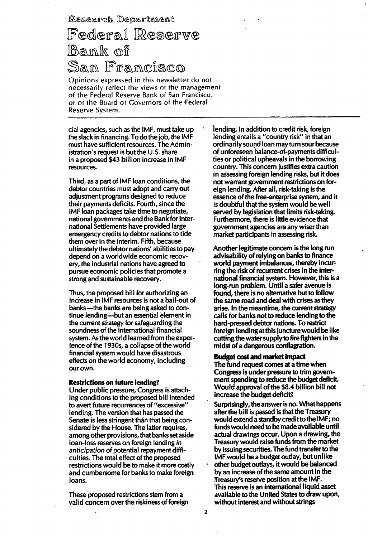Research Department

# Federal Reserve Bank of San Francisco

Opinions expressed in this newsletter do not necessarily reflect the views of the management of the Federal Reserve Bank of San Francisco. or of the Board of Governors of the Federal Reserve Svstem.

cial agencies, such as the IMF, must take up the slack in financing. To do the job, the IMF musthave sufficient resources. The Administration's request is but the  $U.S.$  share in a proposed \$43 billion increase in IMF resources.

Third, as a part of IMF loan conditions, the debtor countries must adopt and carry out adjustment programs designed to reduce their payments deficits. Fourth, since the IMF loan packages take time to negotiate, national governments and the Bank for International Settlements have provided large emergency credits to debtor nations to tide them over in the interim. Fifth, because ultimately the debtor nations' abilities to pay depend on a worldwide economic recovery, the industrial nations have agreed to pursue economic policies that promote a strong and sustainable recovery.

Thus, the proposed bill for authorizing an increase in IMF resources is not a bail-out of banks-the banks are being asked to continue lending-but an essential element in the current strategy for safeguarding the soundness of the international financial system. As the world learned from the experience of the 1 930s, a collapse of the world financial system would have disastrous effects on the world economy, including our own.

#### Restrictions on future lending?

Under public pressure, Congress is attaching conditions to the proposed bill intended to avert future recurrences of "excessive" lending. The version that has passed the Senate is less stringent than that being considered by the House. The latter requires, among other provisions, that banks set aside loan-loss reserves on foreign lending in anticipation of potential repayment difficulties. The total effect of the proposed restrictions would be to make it more costly and cumbersome for banks to make foreign loans.

These proposed restrictions stem from a valid concern over the riskiness of foreign lending. In addition to credit risk, foreign lending entails a "country risk" in that an ordinarily sound loan may turn sour because of unforeseen balance-of-payrnents difficulties or political upheavals in the borrowing country. This concern justifies extra caution in assessing foreign lending risks, but it does not warrant governrnent restrictions on foreign lending. After all, risk-taking is the essence of the free-enterprise system, and it is doubtful that the system would be well served by legislation that lirnits risk-taking. Furthermore, there is little evidence that government agencies are any wiser than market participants in assessing risk.

Another legitimate concern is the long run advisability of relying on banks to finance world payment imbalances, thereby incurring the risk of recurrent crises in the international financial system. However, this is a long-run problem. Until a safer avenue is found, there is no alternative but to follow the same road and deal with crises as they arise. In the rneantime, the current strategy calls for banks not to reduce lending to the hard-pressed debtor nations. To restrict foreign lending at this juncture would be like cutting the water supply to fire fighters in the midst of a dangerous conflagration.

#### Budget cost and market impact

The fund request comes at a time when Congress is under pressure to trim government spending to reduce the budget deficit. Would approval of the \$8.4 billion bill not increase the budget deficit?

Surprisingly, the answer is no. What happens after the bill is passed is that the Treasury would extend a standby credit to the  $IMF$ ; no funds would need to be made available until actual drawings occur. Upon a drawing, the Treasury would raise funds from the market by issuing securities. The fund transfer to the IMF would be a budget outlay, but unlike other budget outlays, it would be balanced by an increase of the same amount in the Treasury's reserve position at the  $IMF.$ This reserve is an international liquid asset available to the United States to draw upon, without interest and without strings

2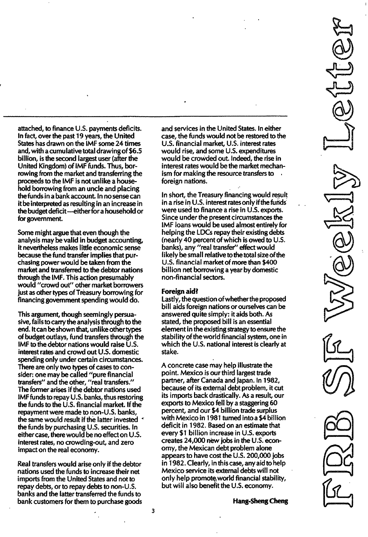attached, to finance U.S. payments deficits. In fact, over the past 19 years, the United States has drawn on the IMF some 24 times and, with a cumulative total drawing of \$6.5 billion, is the second largest user (after the United Kingdom) of IMF funds. Thus, borrowing from the market and transferring the proceeds to the IMF is not unlike a household borrowing from an uncle and placing the funds in a bank account. In no sense can it be interpreted as resulting in an increase in the budget deficit -- either for a household or for government.

Some might argue that even though the analysis may be valid in budget accounting, it nevertheless makes little economic sense because the fund transfer implies that purchasing power would be taken from the market and transferred to the debtor nations through the IMF. This action presumably would "crowd out" other market borrowers just as other types of Treasury borrowing for financing government spending would do.

This argument, though seemingly persuasive, fails to carry the analysis through to the end. Itcan be shown that, unlike other types of budget outlays, fund transfers through the IMF to the debtor nations would raise U.S. interest rates and crowd out U.S. domestic spending only under certain circumstances. There are only two types of cases to consider: one may be called "pure financial transfers" and the other, "real transfers." The former arises if the debtor nations used IMF funds to repay U.S. banks, thus restoring the funds to the U. S. financial market. If the repayment were made to non-U. S. banks, the same would result if the latter invested <sup>&</sup>lt; the funds by purchasing U.S. securities. In either case, there would be no effect on U.S. interest rates, no crowding-out, and zero impact on the real economy.

Real transfers would arise only if the debtor nations used the funds to increase their net imports from the United States and not to repay debts, or to repay debts to non-U.s. banks and the latter transferred the funds to bank customers for them to purchase goods and services in the United States. In either case, the funds would not be restored to the U.S. financial market, U.S. interest rates would rise, and some U.S. expenditures would be crowded out. Indeed, the rise in interest rates would be the market mechanism for making the resource transfers to foreign nations.

In short, the Treasury financing would result in a rise in U.S. interest rates only if the funds were used to finance a rise in U.S. exports. Since under the present circumstances the IMF loans would be used almost entirely for helping the LDCs repay their existing debts (nearly 40 percent of which is owed to U.S. banks), any "real transfer" effect would likely be small relative to the total size of the U.S. financial market of more than \$400 billion net borrowing a year by domestic non-financial sectors.

#### Foreign aid?

Lastly, the question of whether the proposed bill aids foreign nations or ourselves can be answered quite simply: it aids both. As stated, the proposed bill is an essential element in the existing strategy to ensure the stability of the world financial system, one in which the U.S. national interest is clearly at stake.

A concrete case may help illustrate the point. Mexico is our third largest trade partner, after Canada and Japan. In 1982, because of its external debt problem, it cut its imports back drastically. As a result, our exports to Mexico fell by a staggering 60 percent, and our \$4 billion trade surplus with Mexico in 1981 turned into a \$4 billion deficit in 1 982. Based on an estimate that every \$1 billion increase in U.s. exports creates 24,000 new jobs in the U.S. economy, the Mexican debt problem alone appears to have cost the U.S. 200,000 jobs in 1 982. Clearly, in this case, any aid to help Mexico service its external debts will not only help promote, world financial stability, but will also benefit the U.S. economy.

Hang-Sheng Cheng